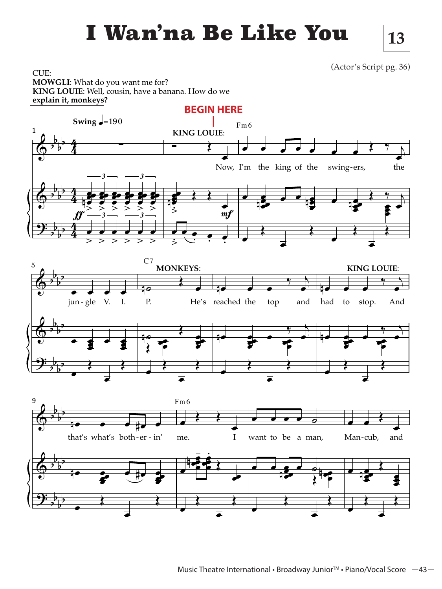## **I Wan'na Be Like You** 13

(Actor's Script pg. 36)

**13**

CUE: **MOWGLI**: What do you want me for? **KING LOUIE**: Well, cousin, have a banana. How do we **explain it, monkeys?**

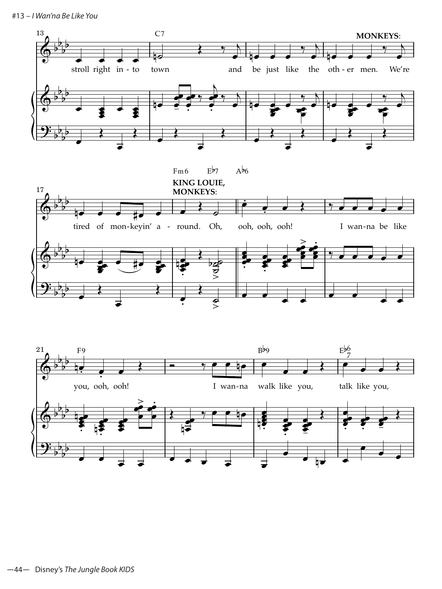#13 – *I Wan'na Be Like You*



œ œ œ œ

œ

च<br>● <sub>प़</sub>ञ

œ

œ œ

 $\overrightarrow{•}$